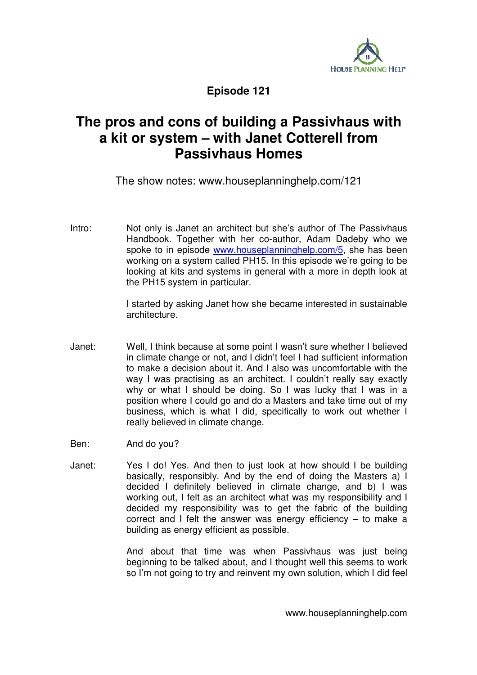

**Episode 121** 

## **The pros and cons of building a Passivhaus with a kit or system – with Janet Cotterell from Passivhaus Homes**

The show notes: www.houseplanninghelp.com/121

Intro: Not only is Janet an architect but she's author of The Passivhaus Handbook. Together with her co-author, Adam Dadeby who we spoke to in episode www.houseplanninghelp.com/5, she has been working on a system called PH15. In this episode we're going to be looking at kits and systems in general with a more in depth look at the PH15 system in particular.

> I started by asking Janet how she became interested in sustainable architecture.

Janet: Well, I think because at some point I wasn't sure whether I believed in climate change or not, and I didn't feel I had sufficient information to make a decision about it. And I also was uncomfortable with the way I was practising as an architect. I couldn't really say exactly why or what I should be doing. So I was lucky that I was in a position where I could go and do a Masters and take time out of my business, which is what I did, specifically to work out whether I really believed in climate change.

Ben: And do you?

Janet: Yes I do! Yes. And then to just look at how should I be building basically, responsibly. And by the end of doing the Masters a) I decided I definitely believed in climate change, and b) I was working out, I felt as an architect what was my responsibility and I decided my responsibility was to get the fabric of the building correct and I felt the answer was energy efficiency – to make a building as energy efficient as possible.

> And about that time was when Passivhaus was just being beginning to be talked about, and I thought well this seems to work so I'm not going to try and reinvent my own solution, which I did feel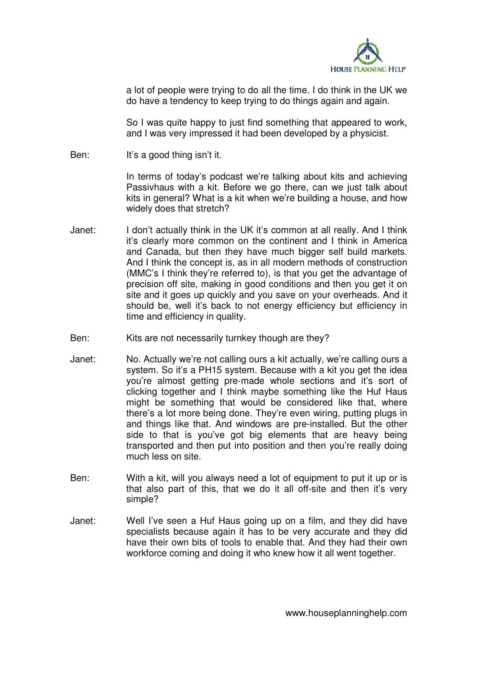

a lot of people were trying to do all the time. I do think in the UK we do have a tendency to keep trying to do things again and again.

So I was quite happy to just find something that appeared to work, and I was very impressed it had been developed by a physicist.

Ben: It's a good thing isn't it.

In terms of today's podcast we're talking about kits and achieving Passivhaus with a kit. Before we go there, can we just talk about kits in general? What is a kit when we're building a house, and how widely does that stretch?

- Janet: I don't actually think in the UK it's common at all really. And I think it's clearly more common on the continent and I think in America and Canada, but then they have much bigger self build markets. And I think the concept is, as in all modern methods of construction (MMC's I think they're referred to), is that you get the advantage of precision off site, making in good conditions and then you get it on site and it goes up quickly and you save on your overheads. And it should be, well it's back to not energy efficiency but efficiency in time and efficiency in quality.
- Ben: Kits are not necessarily turnkey though are they?
- Janet: No. Actually we're not calling ours a kit actually, we're calling ours a system. So it's a PH15 system. Because with a kit you get the idea you're almost getting pre-made whole sections and it's sort of clicking together and I think maybe something like the Huf Haus might be something that would be considered like that, where there's a lot more being done. They're even wiring, putting plugs in and things like that. And windows are pre-installed. But the other side to that is you've got big elements that are heavy being transported and then put into position and then you're really doing much less on site.
- Ben: With a kit, will you always need a lot of equipment to put it up or is that also part of this, that we do it all off-site and then it's very simple?
- Janet: Well I've seen a Huf Haus going up on a film, and they did have specialists because again it has to be very accurate and they did have their own bits of tools to enable that. And they had their own workforce coming and doing it who knew how it all went together.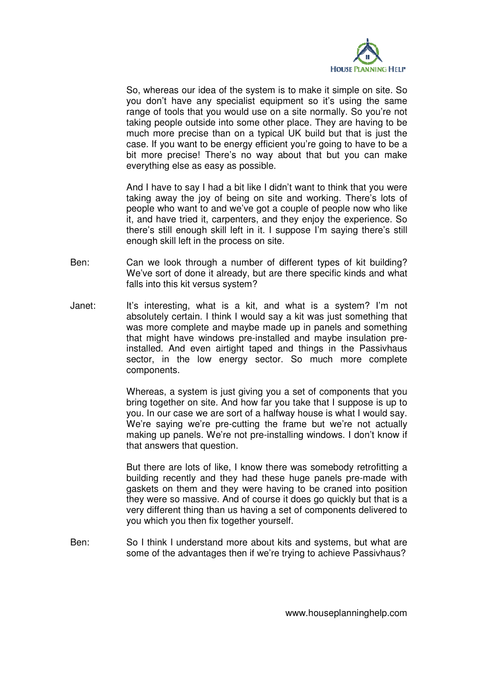

So, whereas our idea of the system is to make it simple on site. So you don't have any specialist equipment so it's using the same range of tools that you would use on a site normally. So you're not taking people outside into some other place. They are having to be much more precise than on a typical UK build but that is just the case. If you want to be energy efficient you're going to have to be a bit more precise! There's no way about that but you can make everything else as easy as possible.

And I have to say I had a bit like I didn't want to think that you were taking away the joy of being on site and working. There's lots of people who want to and we've got a couple of people now who like it, and have tried it, carpenters, and they enjoy the experience. So there's still enough skill left in it. I suppose I'm saying there's still enough skill left in the process on site.

- Ben: Can we look through a number of different types of kit building? We've sort of done it already, but are there specific kinds and what falls into this kit versus system?
- Janet: It's interesting, what is a kit, and what is a system? I'm not absolutely certain. I think I would say a kit was just something that was more complete and maybe made up in panels and something that might have windows pre-installed and maybe insulation preinstalled. And even airtight taped and things in the Passivhaus sector, in the low energy sector. So much more complete components.

Whereas, a system is just giving you a set of components that you bring together on site. And how far you take that I suppose is up to you. In our case we are sort of a halfway house is what I would say. We're saying we're pre-cutting the frame but we're not actually making up panels. We're not pre-installing windows. I don't know if that answers that question.

But there are lots of like, I know there was somebody retrofitting a building recently and they had these huge panels pre-made with gaskets on them and they were having to be craned into position they were so massive. And of course it does go quickly but that is a very different thing than us having a set of components delivered to you which you then fix together yourself.

Ben: So I think I understand more about kits and systems, but what are some of the advantages then if we're trying to achieve Passivhaus?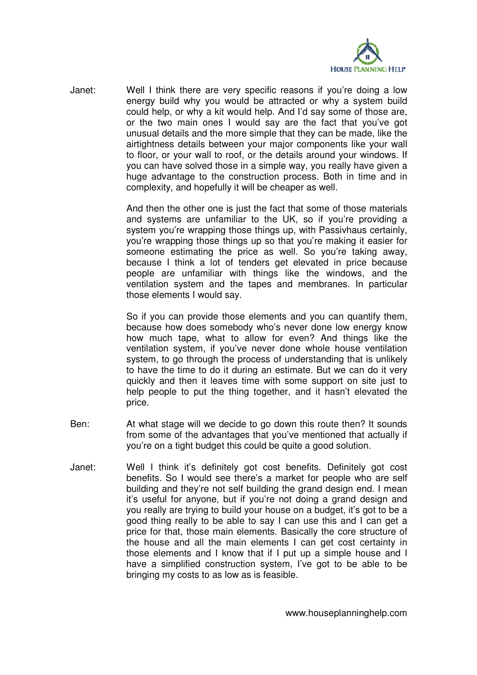

Janet: Well I think there are very specific reasons if you're doing a low energy build why you would be attracted or why a system build could help, or why a kit would help. And I'd say some of those are, or the two main ones I would say are the fact that you've got unusual details and the more simple that they can be made, like the airtightness details between your major components like your wall to floor, or your wall to roof, or the details around your windows. If you can have solved those in a simple way, you really have given a huge advantage to the construction process. Both in time and in complexity, and hopefully it will be cheaper as well.

> And then the other one is just the fact that some of those materials and systems are unfamiliar to the UK, so if you're providing a system you're wrapping those things up, with Passivhaus certainly, you're wrapping those things up so that you're making it easier for someone estimating the price as well. So you're taking away, because I think a lot of tenders get elevated in price because people are unfamiliar with things like the windows, and the ventilation system and the tapes and membranes. In particular those elements I would say.

> So if you can provide those elements and you can quantify them, because how does somebody who's never done low energy know how much tape, what to allow for even? And things like the ventilation system, if you've never done whole house ventilation system, to go through the process of understanding that is unlikely to have the time to do it during an estimate. But we can do it very quickly and then it leaves time with some support on site just to help people to put the thing together, and it hasn't elevated the price.

- Ben: At what stage will we decide to go down this route then? It sounds from some of the advantages that you've mentioned that actually if you're on a tight budget this could be quite a good solution.
- Janet: Well I think it's definitely got cost benefits. Definitely got cost benefits. So I would see there's a market for people who are self building and they're not self building the grand design end. I mean it's useful for anyone, but if you're not doing a grand design and you really are trying to build your house on a budget, it's got to be a good thing really to be able to say I can use this and I can get a price for that, those main elements. Basically the core structure of the house and all the main elements I can get cost certainty in those elements and I know that if I put up a simple house and I have a simplified construction system, I've got to be able to be bringing my costs to as low as is feasible.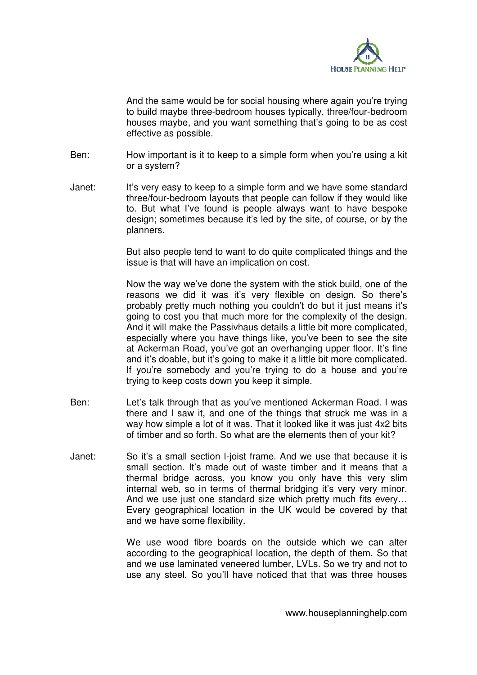

And the same would be for social housing where again you're trying to build maybe three-bedroom houses typically, three/four-bedroom houses maybe, and you want something that's going to be as cost effective as possible.

- Ben: How important is it to keep to a simple form when you're using a kit or a system?
- Janet: It's very easy to keep to a simple form and we have some standard three/four-bedroom layouts that people can follow if they would like to. But what I've found is people always want to have bespoke design; sometimes because it's led by the site, of course, or by the planners.

But also people tend to want to do quite complicated things and the issue is that will have an implication on cost.

Now the way we've done the system with the stick build, one of the reasons we did it was it's very flexible on design. So there's probably pretty much nothing you couldn't do but it just means it's going to cost you that much more for the complexity of the design. And it will make the Passivhaus details a little bit more complicated, especially where you have things like, you've been to see the site at Ackerman Road, you've got an overhanging upper floor. It's fine and it's doable, but it's going to make it a little bit more complicated. If you're somebody and you're trying to do a house and you're trying to keep costs down you keep it simple.

- Ben: Let's talk through that as you've mentioned Ackerman Road. I was there and I saw it, and one of the things that struck me was in a way how simple a lot of it was. That it looked like it was just 4x2 bits of timber and so forth. So what are the elements then of your kit?
- Janet: So it's a small section I-joist frame. And we use that because it is small section. It's made out of waste timber and it means that a thermal bridge across, you know you only have this very slim internal web, so in terms of thermal bridging it's very very minor. And we use just one standard size which pretty much fits every… Every geographical location in the UK would be covered by that and we have some flexibility.

We use wood fibre boards on the outside which we can alter according to the geographical location, the depth of them. So that and we use laminated veneered lumber, LVLs. So we try and not to use any steel. So you'll have noticed that that was three houses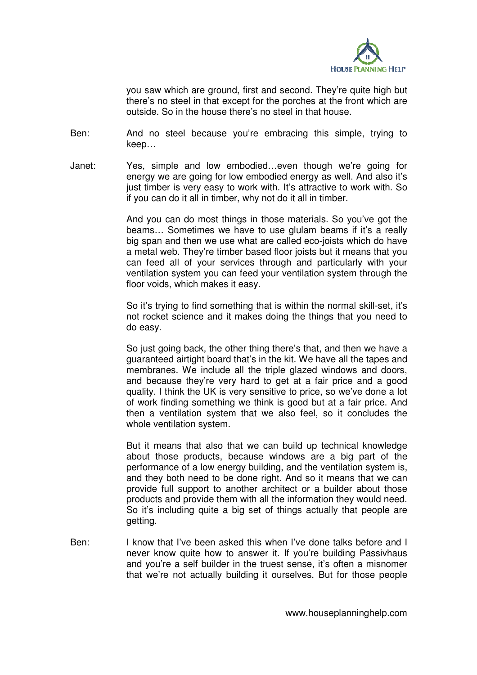

you saw which are ground, first and second. They're quite high but there's no steel in that except for the porches at the front which are outside. So in the house there's no steel in that house.

Ben: And no steel because you're embracing this simple, trying to keep…

Janet: Yes, simple and low embodied…even though we're going for energy we are going for low embodied energy as well. And also it's just timber is very easy to work with. It's attractive to work with. So if you can do it all in timber, why not do it all in timber.

> And you can do most things in those materials. So you've got the beams... Sometimes we have to use glulam beams if it's a really big span and then we use what are called eco-joists which do have a metal web. They're timber based floor joists but it means that you can feed all of your services through and particularly with your ventilation system you can feed your ventilation system through the floor voids, which makes it easy.

> So it's trying to find something that is within the normal skill-set, it's not rocket science and it makes doing the things that you need to do easy.

> So just going back, the other thing there's that, and then we have a guaranteed airtight board that's in the kit. We have all the tapes and membranes. We include all the triple glazed windows and doors, and because they're very hard to get at a fair price and a good quality. I think the UK is very sensitive to price, so we've done a lot of work finding something we think is good but at a fair price. And then a ventilation system that we also feel, so it concludes the whole ventilation system.

> But it means that also that we can build up technical knowledge about those products, because windows are a big part of the performance of a low energy building, and the ventilation system is, and they both need to be done right. And so it means that we can provide full support to another architect or a builder about those products and provide them with all the information they would need. So it's including quite a big set of things actually that people are getting.

Ben: I know that I've been asked this when I've done talks before and I never know quite how to answer it. If you're building Passivhaus and you're a self builder in the truest sense, it's often a misnomer that we're not actually building it ourselves. But for those people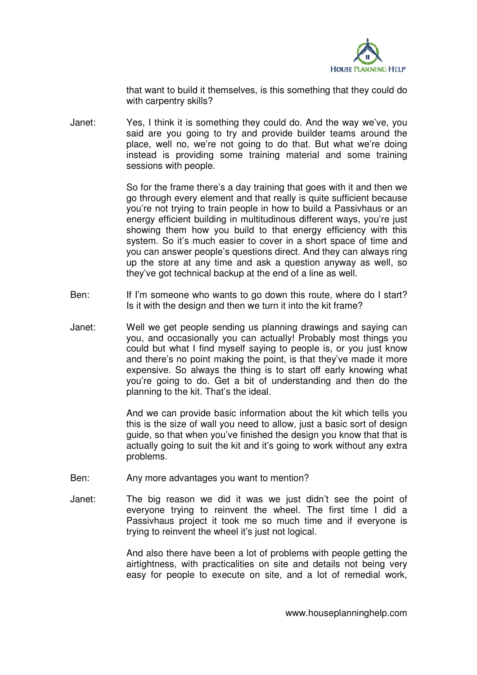

that want to build it themselves, is this something that they could do with carpentry skills?

Janet: Yes, I think it is something they could do. And the way we've, you said are you going to try and provide builder teams around the place, well no, we're not going to do that. But what we're doing instead is providing some training material and some training sessions with people.

> So for the frame there's a day training that goes with it and then we go through every element and that really is quite sufficient because you're not trying to train people in how to build a Passivhaus or an energy efficient building in multitudinous different ways, you're just showing them how you build to that energy efficiency with this system. So it's much easier to cover in a short space of time and you can answer people's questions direct. And they can always ring up the store at any time and ask a question anyway as well, so they've got technical backup at the end of a line as well.

- Ben: If I'm someone who wants to go down this route, where do I start? Is it with the design and then we turn it into the kit frame?
- Janet: Well we get people sending us planning drawings and saying can you, and occasionally you can actually! Probably most things you could but what I find myself saying to people is, or you just know and there's no point making the point, is that they've made it more expensive. So always the thing is to start off early knowing what you're going to do. Get a bit of understanding and then do the planning to the kit. That's the ideal.

And we can provide basic information about the kit which tells you this is the size of wall you need to allow, just a basic sort of design guide, so that when you've finished the design you know that that is actually going to suit the kit and it's going to work without any extra problems.

- Ben: Any more advantages you want to mention?
- Janet: The big reason we did it was we just didn't see the point of everyone trying to reinvent the wheel. The first time I did a Passivhaus project it took me so much time and if everyone is trying to reinvent the wheel it's just not logical.

And also there have been a lot of problems with people getting the airtightness, with practicalities on site and details not being very easy for people to execute on site, and a lot of remedial work,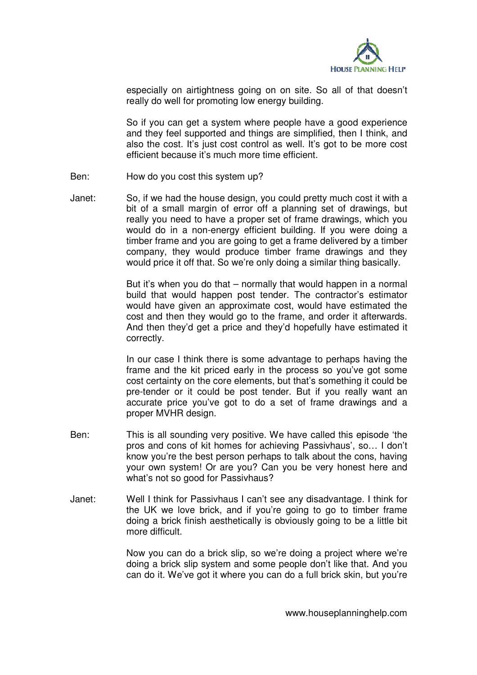

especially on airtightness going on on site. So all of that doesn't really do well for promoting low energy building.

So if you can get a system where people have a good experience and they feel supported and things are simplified, then I think, and also the cost. It's just cost control as well. It's got to be more cost efficient because it's much more time efficient.

- Ben: How do you cost this system up?
- Janet: So, if we had the house design, you could pretty much cost it with a bit of a small margin of error off a planning set of drawings, but really you need to have a proper set of frame drawings, which you would do in a non-energy efficient building. If you were doing a timber frame and you are going to get a frame delivered by a timber company, they would produce timber frame drawings and they would price it off that. So we're only doing a similar thing basically.

But it's when you do that – normally that would happen in a normal build that would happen post tender. The contractor's estimator would have given an approximate cost, would have estimated the cost and then they would go to the frame, and order it afterwards. And then they'd get a price and they'd hopefully have estimated it correctly.

In our case I think there is some advantage to perhaps having the frame and the kit priced early in the process so you've got some cost certainty on the core elements, but that's something it could be pre-tender or it could be post tender. But if you really want an accurate price you've got to do a set of frame drawings and a proper MVHR design.

- Ben: This is all sounding very positive. We have called this episode 'the pros and cons of kit homes for achieving Passivhaus', so… I don't know you're the best person perhaps to talk about the cons, having your own system! Or are you? Can you be very honest here and what's not so good for Passivhaus?
- Janet: Well I think for Passivhaus I can't see any disadvantage. I think for the UK we love brick, and if you're going to go to timber frame doing a brick finish aesthetically is obviously going to be a little bit more difficult.

Now you can do a brick slip, so we're doing a project where we're doing a brick slip system and some people don't like that. And you can do it. We've got it where you can do a full brick skin, but you're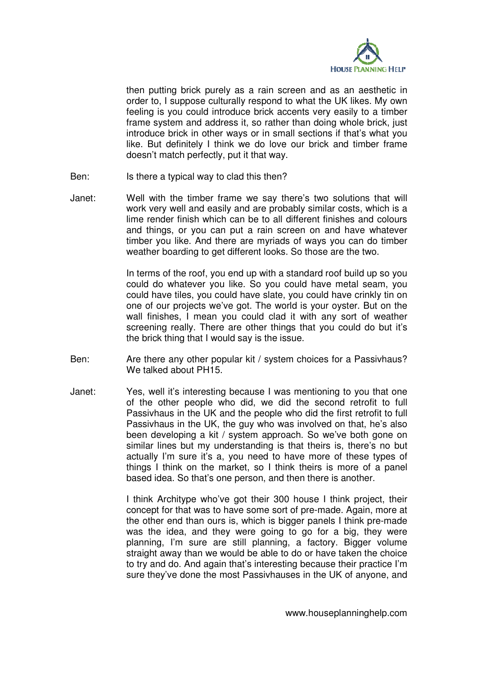

then putting brick purely as a rain screen and as an aesthetic in order to, I suppose culturally respond to what the UK likes. My own feeling is you could introduce brick accents very easily to a timber frame system and address it, so rather than doing whole brick, just introduce brick in other ways or in small sections if that's what you like. But definitely I think we do love our brick and timber frame doesn't match perfectly, put it that way.

- Ben: Is there a typical way to clad this then?
- Janet: Well with the timber frame we say there's two solutions that will work very well and easily and are probably similar costs, which is a lime render finish which can be to all different finishes and colours and things, or you can put a rain screen on and have whatever timber you like. And there are myriads of ways you can do timber weather boarding to get different looks. So those are the two.

 In terms of the roof, you end up with a standard roof build up so you could do whatever you like. So you could have metal seam, you could have tiles, you could have slate, you could have crinkly tin on one of our projects we've got. The world is your oyster. But on the wall finishes, I mean you could clad it with any sort of weather screening really. There are other things that you could do but it's the brick thing that I would say is the issue.

- Ben: Are there any other popular kit / system choices for a Passivhaus? We talked about PH15.
- Janet: Yes, well it's interesting because I was mentioning to you that one of the other people who did, we did the second retrofit to full Passivhaus in the UK and the people who did the first retrofit to full Passivhaus in the UK, the guy who was involved on that, he's also been developing a kit / system approach. So we've both gone on similar lines but my understanding is that theirs is, there's no but actually I'm sure it's a, you need to have more of these types of things I think on the market, so I think theirs is more of a panel based idea. So that's one person, and then there is another.

I think Architype who've got their 300 house I think project, their concept for that was to have some sort of pre-made. Again, more at the other end than ours is, which is bigger panels I think pre-made was the idea, and they were going to go for a big, they were planning, I'm sure are still planning, a factory. Bigger volume straight away than we would be able to do or have taken the choice to try and do. And again that's interesting because their practice I'm sure they've done the most Passivhauses in the UK of anyone, and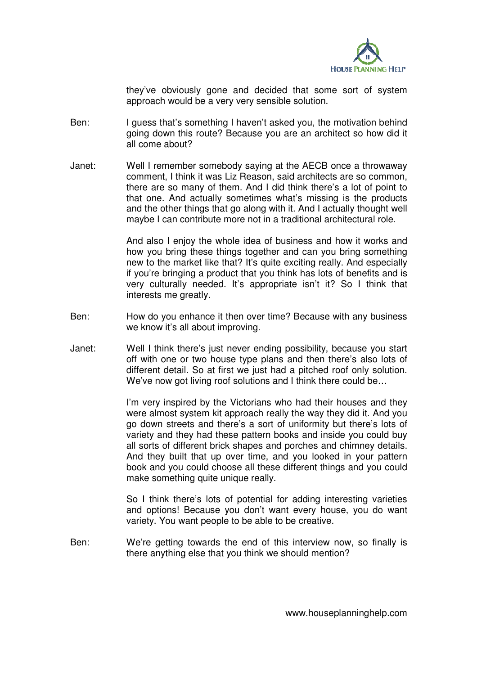

they've obviously gone and decided that some sort of system approach would be a very very sensible solution.

- Ben: I guess that's something I haven't asked you, the motivation behind going down this route? Because you are an architect so how did it all come about?
- Janet: Well I remember somebody saying at the AECB once a throwaway comment, I think it was Liz Reason, said architects are so common, there are so many of them. And I did think there's a lot of point to that one. And actually sometimes what's missing is the products and the other things that go along with it. And I actually thought well maybe I can contribute more not in a traditional architectural role.

And also I enjoy the whole idea of business and how it works and how you bring these things together and can you bring something new to the market like that? It's quite exciting really. And especially if you're bringing a product that you think has lots of benefits and is very culturally needed. It's appropriate isn't it? So I think that interests me greatly.

- Ben: How do you enhance it then over time? Because with any business we know it's all about improving.
- Janet: Well I think there's just never ending possibility, because you start off with one or two house type plans and then there's also lots of different detail. So at first we just had a pitched roof only solution. We've now got living roof solutions and I think there could be...

I'm very inspired by the Victorians who had their houses and they were almost system kit approach really the way they did it. And you go down streets and there's a sort of uniformity but there's lots of variety and they had these pattern books and inside you could buy all sorts of different brick shapes and porches and chimney details. And they built that up over time, and you looked in your pattern book and you could choose all these different things and you could make something quite unique really.

So I think there's lots of potential for adding interesting varieties and options! Because you don't want every house, you do want variety. You want people to be able to be creative.

Ben: We're getting towards the end of this interview now, so finally is there anything else that you think we should mention?